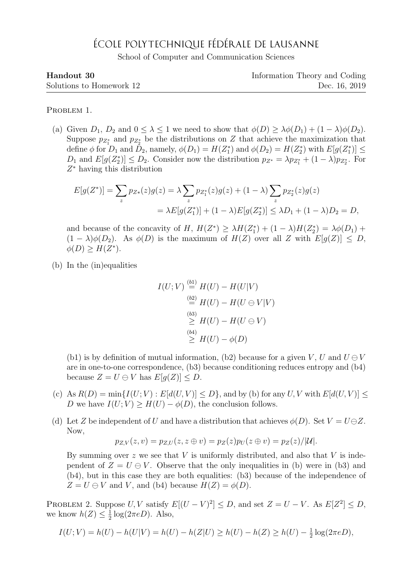## ÉCOLE POLYTECHNIQUE FÉDÉRALE DE LAUSANNE

School of Computer and Communication Sciences

| Handout 30               | Information Theory and Coding |
|--------------------------|-------------------------------|
| Solutions to Homework 12 | Dec. 16, 2019                 |

PROBLEM 1.

(a) Given  $D_1$ ,  $D_2$  and  $0 \leq \lambda \leq 1$  we need to show that  $\phi(D) \geq \lambda \phi(D_1) + (1 - \lambda) \phi(D_2)$ . Suppose  $p_{Z_1^*}$  and  $p_{Z_2^*}$  be the distributions on Z that achieve the maximization that define  $\phi$  for  $D_1$  and  $D_2$ , namely,  $\phi(D_1) = H(Z_1^*)$  and  $\phi(D_2) = H(Z_2^*)$  with  $E[g(Z_1^*)] \leq$  $D_1$  and  $E[g(Z_2^*)] \leq D_2$ . Consider now the distribution  $p_{Z^*} = \lambda p_{Z_1^*} + (1 - \lambda)p_{Z_2^*}$ . For Z <sup>∗</sup> having this distribution

$$
E[g(Z^*)] = \sum_z p_{Z*}(z)g(z) = \lambda \sum_z p_{Z_1^*}(z)g(z) + (1 - \lambda) \sum_z p_{Z_2^*}(z)g(z)
$$
  
=  $\lambda E[g(Z_1^*)] + (1 - \lambda)E[g(Z_2^*)] \leq \lambda D_1 + (1 - \lambda)D_2 = D,$ 

and because of the concavity of H,  $H(Z^*) \geq \lambda H(Z_1^*) + (1 - \lambda)H(Z_2^*) = \lambda \phi(D_1) +$  $(1 - \lambda)\phi(D_2)$ . As  $\phi(D)$  is the maximum of  $H(Z)$  over all Z with  $E[g(Z)] \leq D$ ,  $\phi(D) \geq H(Z^*).$ 

(b) In the (in)equalities

$$
I(U;V) \stackrel{\text{(b1)}}{=} H(U) - H(U|V)
$$
  
\n
$$
\stackrel{\text{(b2)}}{=} H(U) - H(U \oplus V|V)
$$
  
\n
$$
\stackrel{\text{(b3)}}{>} H(U) - H(U \oplus V)
$$
  
\n
$$
\stackrel{\text{(b4)}}{>} H(U) - \phi(D)
$$

(b1) is by definition of mutual information, (b2) because for a given V, U and  $U \oplus V$ are in one-to-one correspondence, (b3) because conditioning reduces entropy and (b4) because  $Z = U \ominus V$  has  $E[g(Z)] \leq D$ .

- (c) As  $R(D) = \min\{I(U;V) : E[d(U,V)] \leq D\}$ , and by (b) for any U, V with  $E[d(U,V)] \leq D\}$ D we have  $I(U;V) \geq H(U) - \phi(D)$ , the conclusion follows.
- (d) Let Z be independent of U and have a distribution that achieves  $\phi(D)$ . Set  $V = U \oplus Z$ . Now,

$$
p_{Z,V}(z,v) = p_{Z,U}(z,z \oplus v) = p_Z(z)p_U(z \oplus v) = p_Z(z)/|\mathcal{U}|.
$$

By summing over  $z$  we see that  $V$  is uniformly distributed, and also that  $V$  is independent of  $Z = U \oplus V$ . Observe that the only inequalities in (b) were in (b3) and (b4), but in this case they are both equalities: (b3) because of the independence of  $Z = U \ominus V$  and V, and (b4) because  $H(Z) = \phi(D)$ .

PROBLEM 2. Suppose  $U, V$  satisfy  $E[(U - V)^2] \le D$ , and set  $Z = U - V$ . As  $E[Z^2] \le D$ , we know  $h(Z) \leq \frac{1}{2}$  $\frac{1}{2} \log(2 \pi e D)$ . Also,

$$
I(U;V) = h(U) - h(U|V) = h(U) - h(Z|U) \ge h(U) - h(Z) \ge h(U) - \frac{1}{2}\log(2\pi eD),
$$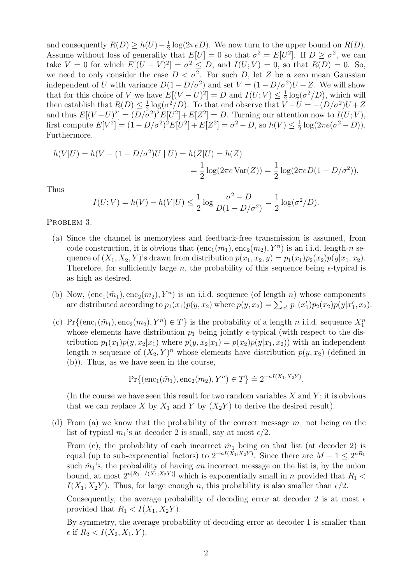and consequently  $R(D) \geq h(U) - \frac{1}{2}$  $\frac{1}{2}$  log(2 $\pi eD$ ). We now turn to the upper bound on  $R(D)$ . Assume without loss of generality that  $E[U] = 0$  so that  $\sigma^2 = E[U^2]$ . If  $D \ge \sigma^2$ , we can take  $V = 0$  for which  $E[(U - V)^2] = \sigma^2 \le D$ , and  $I(U; V) = 0$ , so that  $R(D) = 0$ . So, we need to only consider the case  $D < \sigma^2$ . For such D, let Z be a zero mean Gaussian independent of U with variance  $D(1 - D/\sigma^2)$  and set  $V = (1 - D/\sigma^2)U + Z$ . We will show that for this choice of V we have  $E[(V-U)^2] = D$  and  $I(U;V) \leq \frac{1}{2}$  $\frac{1}{2} \log(\sigma^2/D)$ , which will then establish that  $R(D) \leq \frac{1}{2}$  $\frac{1}{2} \log(\sigma^2/D)$ . To that end observe that  $\bar{V} - U = -(D/\sigma^2)U + Z$ and thus  $E[(V-U)^2] = (D/\overline{\sigma}^2)^2 E[U^2] + E[Z^2] = D$ . Turning our attention now to  $I(U;V)$ , first compute  $E[V^2] = (1 - D/\sigma^2)^2 E[U^2] + E[Z^2] = \sigma^2 - D$ , so  $h(V) \leq \frac{1}{2}$  $\frac{1}{2} \log(2\pi e(\sigma^2 - D)).$ Furthermore,

$$
h(V|U) = h(V - (1 - D/\sigma^2)U | U) = h(Z|U) = h(Z)
$$
  
= 
$$
\frac{1}{2} \log(2\pi e \text{Var}(Z)) = \frac{1}{2} \log(2\pi e D(1 - D/\sigma^2)).
$$

Thus

$$
I(U;V) = h(V) - h(V|U) \le \frac{1}{2} \log \frac{\sigma^2 - D}{D(1 - D/\sigma^2)} = \frac{1}{2} \log(\sigma^2/D).
$$

PROBLEM 3.

- (a) Since the channel is memoryless and feedback-free transmission is assumed, from code construction, it is obvious that  $(\text{enc}_1(m_1), \text{enc}_2(m_2), Y^n)$  is an i.i.d. length-n sequence of  $(X_1, X_2, Y)$ 's drawn from distribution  $p(x_1, x_2, y) = p_1(x_1)p_2(x_2)p(y|x_1, x_2)$ . Therefore, for sufficiently large n, the probability of this sequence being  $\epsilon$ -typical is as high as desired.
- (b) Now,  $(\text{enc}_1(\tilde{m}_1), \text{enc}_2(m_2), Y^n)$  is an i.i.d. sequence (of length n) whose components are distributed according to  $p_1(x_1)p(y, x_2)$  where  $p(y, x_2) = \sum_{x_1'} p_1(x_1')p_2(x_2)p(y|x_1', x_2)$ .
- (c) Pr{ $(\text{enc}_1(\tilde{m}_1), \text{enc}_2(m_2), Y^n) \in T$ } is the probability of a length n i.i.d. sequence  $X_1^n$ whose elements have distribution  $p_1$  being jointly  $\epsilon$ -typical (with respect to the distribution  $p_1(x_1)p(y, x_2|x_1)$  where  $p(y, x_2|x_1) = p(x_2)p(y|x_1, x_2)$  with an independent length *n* sequence of  $(X_2, Y)^n$  whose elements have distribution  $p(y, x_2)$  (defined in (b)). Thus, as we have seen in the course,

$$
\Pr\{(\text{enc}_1(\tilde{m}_1), \text{enc}_2(m_2), Y^n) \in T\} \doteq 2^{-nI(X_1, X_2 Y)}.
$$

(In the course we have seen this result for two random variables  $X$  and  $Y$ ; it is obvious that we can replace X by  $X_1$  and Y by  $(X_2Y)$  to derive the desired result).

(d) From (a) we know that the probability of the correct message  $m_1$  not being on the list of typical  $m_1$ 's at decoder 2 is small, say at most  $\epsilon/2$ .

From (c), the probability of each incorrect  $\tilde{m}_1$  being on that list (at decoder 2) is equal (up to sub-exponential factors) to  $2^{-nI(X_1;X_2Y)}$ . Since there are  $M-1 \leq 2^{nR_1}$ such  $\tilde{m}_1$ 's, the probability of having an incorrect message on the list is, by the union bound, at most  $2^{n[R_1-I(X_1;X_2Y)]}$  which is exponentially small in n provided that  $R_1$  <  $I(X_1; X_2Y)$ . Thus, for large enough n, this probability is also smaller than  $\epsilon/2$ .

Consequently, the average probability of decoding error at decoder 2 is at most  $\epsilon$ provided that  $R_1 < I(X_1, X_2Y)$ .

By symmetry, the average probability of decoding error at decoder 1 is smaller than  $\epsilon$  if  $R_2 < I(X_2, X_1, Y)$ .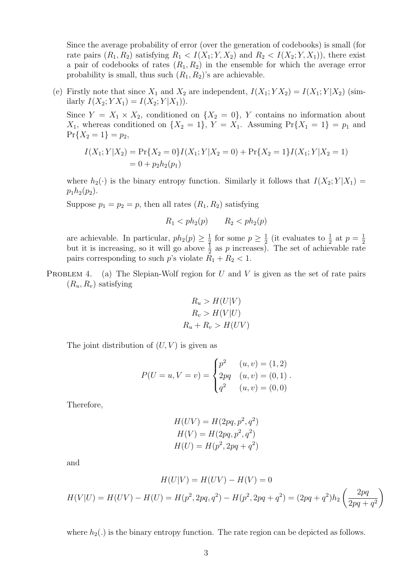Since the average probability of error (over the generation of codebooks) is small (for rate pairs  $(R_1, R_2)$  satisfying  $R_1 < I(X_1; Y, X_2)$  and  $R_2 < I(X_2; Y, X_1)$ , there exist a pair of codebooks of rates  $(R_1, R_2)$  in the ensemble for which the average error probability is small, thus such  $(R_1, R_2)$ 's are achievable.

(e) Firstly note that since  $X_1$  and  $X_2$  are independent,  $I(X_1; YX_2) = I(X_1; Y|X_2)$  (similarly  $I(X_2; YX_1) = I(X_2; Y|X_1)$ .

Since  $Y = X_1 \times X_2$ , conditioned on  $\{X_2 = 0\}$ , Y contains no information about  $X_1$ , whereas conditioned on  $\{X_2 = 1\}$ ,  $Y = X_1$ . Assuming  $\Pr\{X_1 = 1\} = p_1$  and  $Pr{X_2 = 1} = p_2,$ 

$$
I(X_1; Y | X_2) = \Pr\{X_2 = 0\} I(X_1; Y | X_2 = 0) + \Pr\{X_2 = 1\} I(X_1; Y | X_2 = 1)
$$
  
= 0 + p<sub>2</sub>h<sub>2</sub>(p<sub>1</sub>)

where  $h_2(\cdot)$  is the binary entropy function. Similarly it follows that  $I(X_2; Y | X_1) =$  $p_1h_2(p_2)$ .

Suppose  $p_1 = p_2 = p$ , then all rates  $(R_1, R_2)$  satisfying

$$
R_1 < ph_2(p) \qquad R_2 < ph_2(p)
$$

are achievable. In particular,  $ph_2(p) \geq \frac{1}{2}$  $\frac{1}{2}$  for some  $p \geq \frac{1}{2}$  $\frac{1}{2}$  (it evaluates to  $\frac{1}{2}$  at  $p = \frac{1}{2}$ but it is increasing, so it will go above  $\frac{1}{2}$  as p increases). The set of achievable rate pairs corresponding to such  $p$ 's violate  $R_1 + R_2 < 1$ .

PROBLEM 4. (a) The Slepian-Wolf region for  $U$  and  $V$  is given as the set of rate pairs  $(R_u, R_v)$  satisfying

$$
R_u > H(U|V)
$$
  
\n
$$
R_v > H(V|U)
$$
  
\n
$$
R_u + R_v > H(UV)
$$

The joint distribution of  $(U, V)$  is given as

$$
P(U = u, V = v) = \begin{cases} p^2 & (u, v) = (1, 2) \\ 2pq & (u, v) = (0, 1) \\ q^2 & (u, v) = (0, 0) \end{cases}.
$$

Therefore,

$$
H(UV) = H(2pq, p2, q2)
$$
  
\n
$$
H(V) = H(2pq, p2, q2)
$$
  
\n
$$
H(U) = H(p2, 2pq + q2)
$$

and

$$
H(U|V) = H(UV) - H(V) = 0
$$
  

$$
H(V|U) = H(UV) - H(U) = H(p^2, 2pq, q^2) - H(p^2, 2pq + q^2) = (2pq + q^2)h_2 \left(\frac{2pq}{2pq + q^2}\right)
$$

where  $h_2(.)$  is the binary entropy function. The rate region can be depicted as follows.